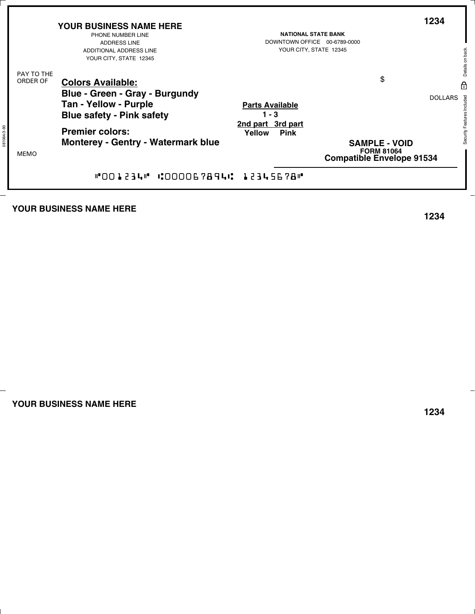|                        | <b>YOUR BUSINESS NAME HERE</b><br>PHONE NUMBER LINE<br><b>ADDRESS LINE</b><br>ADDITIONAL ADDRESS LINE<br>YOUR CITY, STATE 12345 | <b>NATIONAL STATE BANK</b><br>DOWNTOWN OFFICE 00-6789-0000<br>YOUR CITY, STATE 12345 | 1234                                                                          |
|------------------------|---------------------------------------------------------------------------------------------------------------------------------|--------------------------------------------------------------------------------------|-------------------------------------------------------------------------------|
| PAY TO THE<br>ORDER OF | <b>Colors Available:</b><br>Blue - Green - Gray - Burgundy<br><b>Tan - Yellow - Purple</b><br><b>Blue safety - Pink safety</b>  | <b>Parts Available</b><br>$1 - 3$                                                    | \$<br><b>DOLLARS</b>                                                          |
| <b>MEMO</b>            | <b>Premier colors:</b><br><b>Monterey - Gentry - Watermark blue</b>                                                             | 2nd part 3rd part<br>Yellow<br><b>Pink</b>                                           | <b>SAMPLE - VOID</b><br><b>FORM 81064</b><br><b>Compatible Envelope 91534</b> |
|                        | "001234" :000067894: 12345678"                                                                                                  |                                                                                      |                                                                               |

## **YOUR BUSINESS NAME HERE**

**1234**

**YOUR BUSINESS NAME HERE**

**1234**